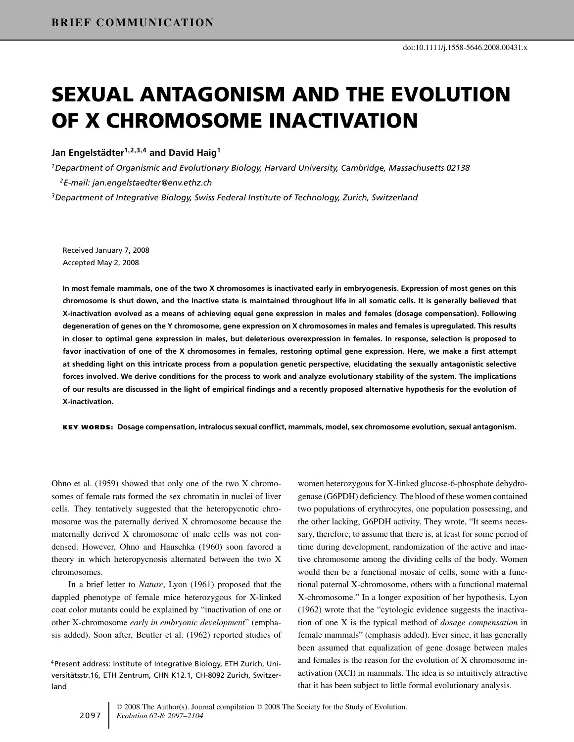# SEXUAL ANTAGONISM AND THE EVOLUTION OF X CHROMOSOME INACTIVATION

### **Jan Engelstadter ¨ <sup>1</sup>,2,3,<sup>4</sup> and David Haig1**

*1Department of Organismic and Evolutionary Biology, Harvard University, Cambridge, Massachusetts 02138 2E-mail: jan.engelstaedter@env.ethz.ch*

*3Department of Integrative Biology, Swiss Federal Institute of Technology, Zurich, Switzerland*

Received January 7, 2008 Accepted May 2, 2008

**In most female mammals, one of the two X chromosomes is inactivated early in embryogenesis. Expression of most genes on this chromosome is shut down, and the inactive state is maintained throughout life in all somatic cells. It is generally believed that X-inactivation evolved as a means of achieving equal gene expression in males and females (dosage compensation). Following degeneration of genes on the Y chromosome, gene expression on X chromosomes in males and females is upregulated. This results in closer to optimal gene expression in males, but deleterious overexpression in females. In response, selection is proposed to favor inactivation of one of the X chromosomes in females, restoring optimal gene expression. Here, we make a first attempt at shedding light on this intricate process from a population genetic perspective, elucidating the sexually antagonistic selective forces involved. We derive conditions for the process to work and analyze evolutionary stability of the system. The implications of our results are discussed in the light of empirical findings and a recently proposed alternative hypothesis for the evolution of X-inactivation.**

KEY WORDS: **Dosage compensation, intralocus sexual conflict, mammals, model, sex chromosome evolution, sexual antagonism.**

Ohno et al. (1959) showed that only one of the two X chromosomes of female rats formed the sex chromatin in nuclei of liver cells. They tentatively suggested that the heteropycnotic chromosome was the paternally derived X chromosome because the maternally derived X chromosome of male cells was not condensed. However, Ohno and Hauschka (1960) soon favored a theory in which heteropycnosis alternated between the two X chromosomes.

In a brief letter to *Nature*, Lyon (1961) proposed that the dappled phenotype of female mice heterozygous for X-linked coat color mutants could be explained by "inactivation of one or other X-chromosome *early in embryonic development*" (emphasis added). Soon after, Beutler et al. (1962) reported studies of

<sup>4</sup>Present address: Institute of Integrative Biology, ETH Zurich, Universitätsstr.16, ETH Zentrum, CHN K12.1, CH-8092 Zurich, Switzerland

women heterozygous for X-linked glucose-6-phosphate dehydrogenase (G6PDH) deficiency. The blood of these women contained two populations of erythrocytes, one population possessing, and the other lacking, G6PDH activity. They wrote, "It seems necessary, therefore, to assume that there is, at least for some period of time during development, randomization of the active and inactive chromosome among the dividing cells of the body. Women would then be a functional mosaic of cells, some with a functional paternal X-chromosome, others with a functional maternal X-chromosome." In a longer exposition of her hypothesis, Lyon (1962) wrote that the "cytologic evidence suggests the inactivation of one X is the typical method of *dosage compensation* in female mammals" (emphasis added). Ever since, it has generally been assumed that equalization of gene dosage between males and females is the reason for the evolution of X chromosome inactivation (XCI) in mammals. The idea is so intuitively attractive that it has been subject to little formal evolutionary analysis.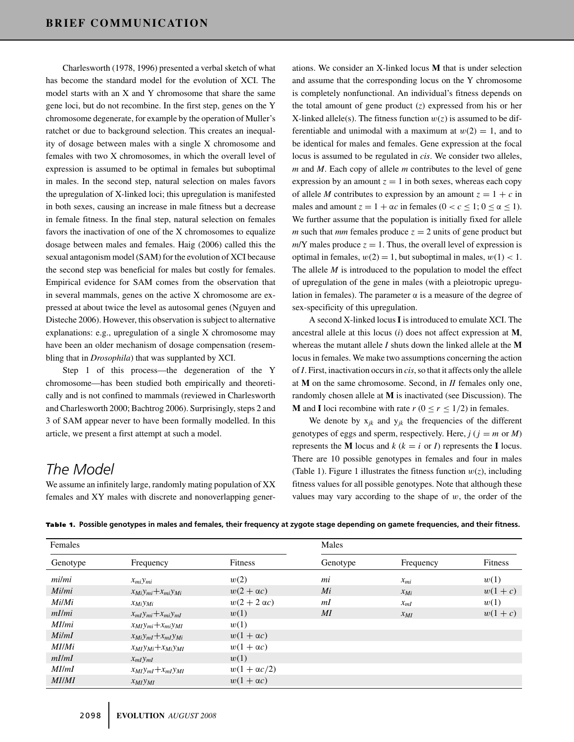Charlesworth (1978, 1996) presented a verbal sketch of what has become the standard model for the evolution of XCI. The model starts with an X and Y chromosome that share the same gene loci, but do not recombine. In the first step, genes on the Y chromosome degenerate, for example by the operation of Muller's ratchet or due to background selection. This creates an inequality of dosage between males with a single X chromosome and females with two X chromosomes, in which the overall level of expression is assumed to be optimal in females but suboptimal in males. In the second step, natural selection on males favors the upregulation of X-linked loci; this upregulation is manifested in both sexes, causing an increase in male fitness but a decrease in female fitness. In the final step, natural selection on females favors the inactivation of one of the X chromosomes to equalize dosage between males and females. Haig (2006) called this the sexual antagonism model (SAM) for the evolution of XCI because the second step was beneficial for males but costly for females. Empirical evidence for SAM comes from the observation that in several mammals, genes on the active X chromosome are expressed at about twice the level as autosomal genes (Nguyen and Disteche 2006). However, this observation is subject to alternative explanations: e.g., upregulation of a single X chromosome may have been an older mechanism of dosage compensation (resembling that in *Drosophila*) that was supplanted by XCI.

Step 1 of this process—the degeneration of the Y chromosome—has been studied both empirically and theoretically and is not confined to mammals (reviewed in Charlesworth and Charlesworth 2000; Bachtrog 2006). Surprisingly, steps 2 and 3 of SAM appear never to have been formally modelled. In this article, we present a first attempt at such a model.

## *The Model*

We assume an infinitely large, randomly mating population of XX females and XY males with discrete and nonoverlapping generations. We consider an X-linked locus **M** that is under selection and assume that the corresponding locus on the Y chromosome is completely nonfunctional. An individual's fitness depends on the total amount of gene product (*z*) expressed from his or her X-linked allele(s). The fitness function  $w(z)$  is assumed to be differentiable and unimodal with a maximum at  $w(2) = 1$ , and to be identical for males and females. Gene expression at the focal locus is assumed to be regulated in *cis*. We consider two alleles, *m* and *M*. Each copy of allele *m* contributes to the level of gene expression by an amount  $z = 1$  in both sexes, whereas each copy of allele *M* contributes to expression by an amount  $z = 1 + c$  in males and amount  $z = 1 + \alpha c$  in females  $(0 < c \le 1; 0 \le \alpha \le 1)$ . We further assume that the population is initially fixed for allele *m* such that *mm* females produce  $z = 2$  units of gene product but  $m/Y$  males produce  $z = 1$ . Thus, the overall level of expression is optimal in females,  $w(2) = 1$ , but suboptimal in males,  $w(1) < 1$ . The allele *M* is introduced to the population to model the effect of upregulation of the gene in males (with a pleiotropic upregulation in females). The parameter  $\alpha$  is a measure of the degree of sex-specificity of this upregulation.

A second X-linked locus **I** is introduced to emulate XCI. The ancestral allele at this locus (*i*) does not affect expression at **M**, whereas the mutant allele *I* shuts down the linked allele at the **M** locus in females. We make two assumptions concerning the action of*I*. First, inactivation occurs in *cis*, so that it affects only the allele at **M** on the same chromosome. Second, in *II* females only one, randomly chosen allele at **M** is inactivated (see Discussion). The **M** and **I** loci recombine with rate  $r$  ( $0 \le r \le 1/2$ ) in females.

We denote by  $x_{jk}$  and  $y_{jk}$  the frequencies of the different genotypes of eggs and sperm, respectively. Here,  $j$  ( $j = m$  or *M*) represents the **M** locus and  $k$  ( $k = i$  or *I*) represents the **I** locus. There are 10 possible genotypes in females and four in males (Table 1). Figure 1 illustrates the fitness function  $w(z)$ , including fitness values for all possible genotypes. Note that although these values may vary according to the shape of  $w$ , the order of the

|  | Table 1. Possible genotypes in males and females, their frequency at zygote stage depending on gamete frequencies, and their fitness. |  |  |  |  |  |  |
|--|---------------------------------------------------------------------------------------------------------------------------------------|--|--|--|--|--|--|
|--|---------------------------------------------------------------------------------------------------------------------------------------|--|--|--|--|--|--|

| <b>Females</b> |                                |                     | Males    |           |                |  |
|----------------|--------------------------------|---------------------|----------|-----------|----------------|--|
| Genotype       | Frequency                      | Fitness             | Genotype | Frequency | <b>Fitness</b> |  |
| milmi          | $x_{mi}y_{mi}$                 | w(2)                | mi       | $x_{mi}$  | w(1)           |  |
| Milmi          | $x_{Mi}y_{mi}+x_{mi}y_{Mi}$    | $w(2 + \alpha c)$   | Mi       | $x_{Mi}$  | $w(1+c)$       |  |
| <b>Mi/Mi</b>   | $x_{Mi}$ $y_{Mi}$              | $w(2+2\alpha c)$    | mI       | $x_{ml}$  | w(1)           |  |
| mI/mi          | $x_{mI}y_{mi} + x_{mi}y_{ml}$  | w(1)                | MI       | $x_{MI}$  | $w(1+c)$       |  |
| <i>MI/mi</i>   | $x_{MI}y_{mi} + x_{mi}y_{MI}$  | w(1)                |          |           |                |  |
| MilmI          | $x_{Mi}y_{ml} + x_{ml}y_{Mi}$  | $w(1 + \alpha c)$   |          |           |                |  |
| <b>MI/Mi</b>   | $x_{MI}y_{Mi} + x_{Mi}y_{MI}$  | $w(1 + \alpha c)$   |          |           |                |  |
| mI/mI          | $x_{mI}y_{mI}$                 | w(1)                |          |           |                |  |
| <b>MI/mI</b>   | $x_{MI}y_{ml} + x_{ml}y_{MI}$  | $w(1 + \alpha c/2)$ |          |           |                |  |
| <b>MI/MI</b>   | $x_{MI}$ <i>y<sub>MI</sub></i> | $w(1 + \alpha c)$   |          |           |                |  |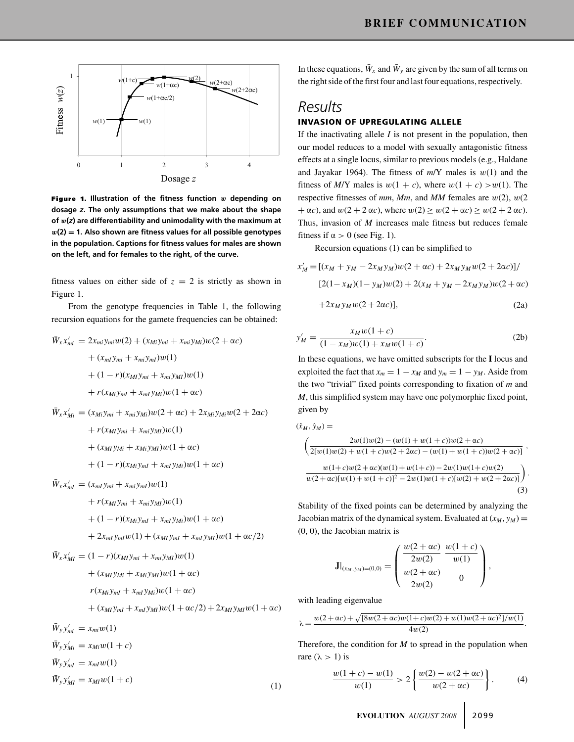

Figure 1. **Illustration of the fitness function w depending on dosage** *z***. The only assumptions that we make about the shape of w(***z***) are differentiability and unimodality with the maximum at w(2) = 1. Also shown are fitness values for all possible genotypes in the population. Captions for fitness values for males are shown on the left, and for females to the right, of the curve.**

fitness values on either side of  $z = 2$  is strictly as shown in Figure 1.

From the genotype frequencies in Table 1, the following recursion equations for the gamete frequencies can be obtained:

$$
\bar{W}_x x'_{mi} = 2x_{mi} y_{mi} w(2) + (x_{Mi} y_{mi} + x_{mi} y_{Mi}) w(2 + \alpha c)
$$
  
+  $(x_{ml} y_{mi} + x_{mi} y_{ml}) w(1)$   
+  $(1 - r)(x_{MI} y_{mi} + x_{mi} y_{MI}) w(1)$   
+  $r(x_{Mi} y_{ml} + x_{ml} y_{Mi}) w(1 + \alpha c)$   
 $\bar{W}_x x'_{Mi} = (x_{Mi} y_{mi} + x_{mi} y_{Mi}) w(2 + \alpha c) + 2x_{Mi} y_{Mi} w(2 + \alpha c)$ 

$$
\overline{W}_x x'_{Mi} = (x_{Mi} y_{mi} + x_{mi} y_{Mi}) w(2 + \alpha c) + 2x_{Mi} y_{Mi} w(2 + 2\alpha c)
$$

$$
+ r(x_{MI}y_{mi} + x_{mi}y_{MI})w(1)
$$

 $+(x_{MI}y_{Mi} + x_{Mi}y_{MI})w(1 + \alpha c)$ 

$$
+ (1 - r)(x_{Mi}y_{ml} + x_{ml}y_{Mi})w(1 + \alpha c)
$$

$$
\bar{W}_x x'_{ml} = (x_{ml} y_{mi} + x_{mi} y_{ml}) w(1)
$$

$$
+ r(x_{MI}y_{mi} + x_{mi}y_{MI})w(1)
$$

$$
+ (1 - r)(x_{Mi}y_{ml} + x_{ml}y_{Mi})w(1 + \alpha c)
$$

+ 
$$
2x_{mI}y_{mI}w(1) + (x_{MI}y_{mI} + x_{mI}y_{MI})w(1 + \alpha c/2)
$$

$$
\bar{W}_x x'_{MI} = (1 - r)(x_{MI} y_{mi} + x_{mi} y_{MI}) w(1)
$$

 $+(x_{MI}y_{Mi} + x_{Mi}y_{MI})w(1 + \alpha c)$ 

$$
r(x_{Mi}y_{ml} + x_{ml}y_{Mi})w(1 + \alpha c)
$$

$$
+(x_{MI}y_{ml}+x_{ml}y_{MI})w(1+\alpha c/2)+2x_{MI}y_{MI}w(1+\alpha c)
$$

$$
\bar{W}_y y'_{mi} = x_{mi} w(1) \n\bar{W}_y y'_{Mi} = x_{Mi} w(1 + c) \n\bar{W}_y y'_{ml} = x_{ml} w(1) \n\bar{W}_y y'_{MI} = x_{MI} w(1 + c)
$$
\n(1)

In these equations,  $\bar{W}_x$  and  $\bar{W}_y$  are given by the sum of all terms on the right side of the first four and last four equations, respectively.

## *Results* INVASION OF UPREGULATING ALLELE

If the inactivating allele *I* is not present in the population, then our model reduces to a model with sexually antagonistic fitness effects at a single locus, similar to previous models (e.g., Haldane and Jayakar 1964). The fitness of *m*/Y males is w(1) and the fitness of  $M/Y$  males is  $w(1 + c)$ , where  $w(1 + c) > w(1)$ . The respective fitnesses of  $mm$ ,  $Mm$ , and  $MM$  females are  $w(2)$ ,  $w(2)$  $+\alpha c$ , and  $w(2+2\alpha c)$ , where  $w(2) > w(2+\alpha c) > w(2+2\alpha c)$ . Thus, invasion of *M* increases male fitness but reduces female fitness if  $\alpha > 0$  (see Fig. 1).

Recursion equations (1) can be simplified to

$$
x'_{M} = [(x_{M} + y_{M} - 2x_{M}y_{M})w(2 + \alpha c) + 2x_{M}y_{M}w(2 + 2\alpha c)] /
$$
  
\n[2(1 - x\_{M})(1 - y\_{M})w(2) + 2(x\_{M} + y\_{M} - 2x\_{M}y\_{M})w(2 + \alpha c)  
\n+2x\_{M}y\_{M}w(2 + 2\alpha c)], (2a)

$$
y'_{M} = \frac{x_{M}w(1+c)}{(1-x_{M})w(1)+x_{M}w(1+c)}.
$$
 (2b)

In these equations, we have omitted subscripts for the **I** locus and exploited the fact that  $x_m = 1 - x_M$  and  $y_m = 1 - y_M$ . Aside from the two "trivial" fixed points corresponding to fixation of *m* and *M*, this simplified system may have one polymorphic fixed point, given by

$$
(\hat{x}_M, \hat{y}_M) =
$$
  
\n
$$
\left(\frac{2w(1)w(2) - (w(1) + w(1 + c))w(2 + \alpha c)}{2[w(1)w(2) + w(1 + c)w(2 + 2\alpha c) - (w(1) + w(1 + c))w(2 + \alpha c)]}, \frac{w(1+c)w(2 + \alpha c)(w(1) + w(1+c)) - 2w(1)w(1+c)w(2)}{w(2 + \alpha c)[w(1) + w(1 + c)]^2 - 2w(1)w(1 + c)[w(2) + w(2 + 2\alpha c)]}\right),
$$
\n(3)

Stability of the fixed points can be determined by analyzing the Jacobian matrix of the dynamical system. Evaluated at  $(x_M, y_M)$  = (0, 0), the Jacobian matrix is

$$
\mathbf{J}|_{(x_M, y_M)=(0,0)} = \begin{pmatrix} \frac{w(2+\alpha c)}{2w(2)} & \frac{w(1+c)}{w(1)} \\ \frac{w(2+\alpha c)}{2w(2)} & 0 \end{pmatrix},
$$

with leading eigenvalue

$$
\lambda = \frac{w(2+\alpha c) + \sqrt{[8w(2+\alpha c)w(1+c)w(2)+w(1)w(2+\alpha c)^2]/w(1)}}{4w(2)}.
$$

Therefore, the condition for  $M$  to spread in the population when rare  $(\lambda > 1)$  is

$$
\frac{w(1+c) - w(1)}{w(1)} > 2\left\{\frac{w(2) - w(2+\alpha c)}{w(2+\alpha c)}\right\}.
$$
 (4)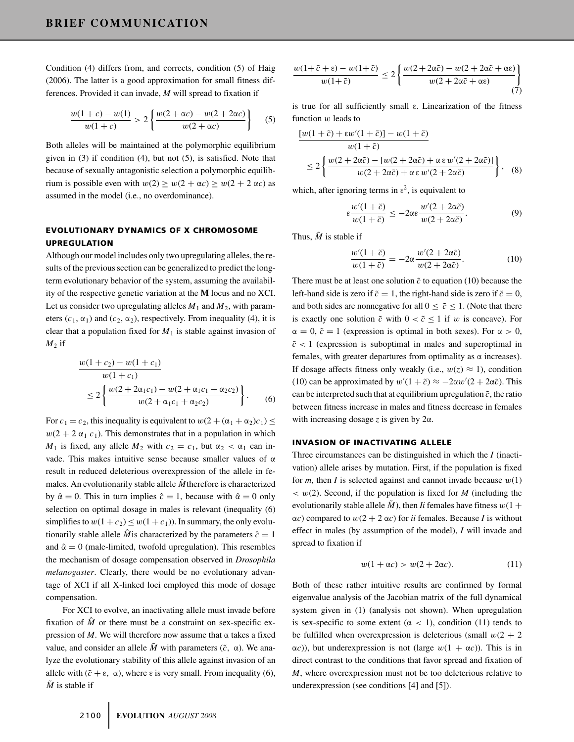Condition (4) differs from, and corrects, condition (5) of Haig (2006). The latter is a good approximation for small fitness differences. Provided it can invade, *M* will spread to fixation if

$$
\frac{w(1+c) - w(1)}{w(1+c)} > 2\left\{\frac{w(2+\alpha c) - w(2+2\alpha c)}{w(2+\alpha c)}\right\}
$$
(5)

Both alleles will be maintained at the polymorphic equilibrium given in (3) if condition (4), but not (5), is satisfied. Note that because of sexually antagonistic selection a polymorphic equilibrium is possible even with  $w(2) \ge w(2 + \alpha c) \ge w(2 + 2 \alpha c)$  as assumed in the model (i.e., no overdominance).

#### EVOLUTIONARY DYNAMICS OF X CHROMOSOME UPREGULATION

Although our model includes only two upregulating alleles, the results of the previous section can be generalized to predict the longterm evolutionary behavior of the system, assuming the availability of the respective genetic variation at the **M** locus and no XCI. Let us consider two upregulating alleles  $M_1$  and  $M_2$ , with parameters  $(c_1, \alpha_1)$  and  $(c_2, \alpha_2)$ , respectively. From inequality (4), it is clear that a population fixed for  $M_1$  is stable against invasion of  $M<sub>2</sub>$  if

$$
\frac{w(1+c_2) - w(1+c_1)}{w(1+c_1)}\n\le 2\left\{\frac{w(2+2\alpha_1c_1) - w(2+\alpha_1c_1+\alpha_2c_2)}{w(2+\alpha_1c_1+\alpha_2c_2)}\right\}.
$$
\n(6)

For  $c_1 = c_2$ , this inequality is equivalent to  $w(2 + (\alpha_1 + \alpha_2)c_1) \le$  $w(2 + 2 \alpha_1 c_1)$ . This demonstrates that in a population in which  $M_1$  is fixed, any allele  $M_2$  with  $c_2 = c_1$ , but  $\alpha_2 < \alpha_1$  can invade. This makes intuitive sense because smaller values of  $\alpha$ result in reduced deleterious overexpression of the allele in females. An evolutionarily stable allele  $\hat{M}$  therefore is characterized by  $\hat{\alpha} = 0$ . This in turn implies  $\hat{c} = 1$ , because with  $\hat{\alpha} = 0$  only selection on optimal dosage in males is relevant (inequality (6) simplifies to  $w(1 + c_2) \leq w(1 + c_1)$ ). In summary, the only evolutionarily stable allele  $\hat{M}$  is characterized by the parameters  $\hat{c} = 1$ and  $\hat{\alpha} = 0$  (male-limited, twofold upregulation). This resembles the mechanism of dosage compensation observed in *Drosophila melanogaster*. Clearly, there would be no evolutionary advantage of XCI if all X-linked loci employed this mode of dosage compensation.

For XCI to evolve, an inactivating allele must invade before fixation of  $\hat{M}$  or there must be a constraint on sex-specific expression of  $M$ . We will therefore now assume that  $\alpha$  takes a fixed value, and consider an allele  $\tilde{M}$  with parameters ( $\tilde{c}$ , α). We analyze the evolutionary stability of this allele against invasion of an allele with  $(\tilde{c} + \varepsilon, \alpha)$ , where  $\varepsilon$  is very small. From inequality (6),  $\tilde{M}$  is stable if

$$
\frac{w(1+\tilde{c}+\varepsilon)-w(1+\tilde{c})}{w(1+\tilde{c})} \le 2\left\{\frac{w(2+2\alpha\tilde{c})-w(2+2\alpha\tilde{c}+\alpha\varepsilon)}{w(2+2\alpha\tilde{c}+\alpha\varepsilon)}\right\}
$$
(7)

is true for all sufficiently small ε. Linearization of the fitness function w leads to

$$
\frac{[w(1+\tilde{c}) + \varepsilon w'(1+\tilde{c})] - w(1+\tilde{c})}{w(1+\tilde{c})}
$$
  
\n
$$
\leq 2\left\{\frac{w(2+2\alpha\tilde{c}) - [w(2+2\alpha\tilde{c}) + \alpha \varepsilon w'(2+2\alpha\tilde{c})]}{w(2+2\alpha\tilde{c}) + \alpha \varepsilon w'(2+2\alpha\tilde{c})}\right\},
$$
 (8)

which, after ignoring terms in  $\varepsilon^2$ , is equivalent to

$$
\varepsilon \frac{w'(1+\tilde{c})}{w(1+\tilde{c})} \le -2\alpha \varepsilon \frac{w'(2+2\alpha \tilde{c})}{w(2+2\alpha \tilde{c})}.
$$
 (9)

Thus,  $\tilde{M}$  is stable if

$$
\frac{w'(1+\tilde{c})}{w(1+\tilde{c})} = -2\alpha \frac{w'(2+2\alpha\tilde{c})}{w(2+2\alpha\tilde{c})}.
$$
\n(10)

There must be at least one solution  $\tilde{c}$  to equation (10) because the left-hand side is zero if  $\tilde{c} = 1$ , the right-hand side is zero if  $\tilde{c} = 0$ , and both sides are nonnegative for all  $0 \le \tilde{c} \le 1$ . (Note that there is exactly one solution  $\tilde{c}$  with  $0 < \tilde{c} \le 1$  if w is concave). For  $\alpha = 0$ ,  $\tilde{c} = 1$  (expression is optimal in both sexes). For  $\alpha > 0$ ,  $\tilde{c}$  < 1 (expression is suboptimal in males and superoptimal in females, with greater departures from optimality as  $\alpha$  increases). If dosage affects fitness only weakly (i.e.,  $w(z) \approx 1$ ), condition (10) can be approximated by  $w'(1 + \tilde{c}) \approx -2\alpha w'(2 + 2\alpha \tilde{c})$ . This can be interpreted such that at equilibrium upregulation  $\tilde{c}$ , the ratio between fitness increase in males and fitness decrease in females with increasing dosage *z* is given by 2α.

#### INVASION OF INACTIVATING ALLELE

Three circumstances can be distinguished in which the *I* (inactivation) allele arises by mutation. First, if the population is fixed for  $m$ , then *I* is selected against and cannot invade because  $w(1)$  $\langle w(2) \rangle$ . Second, if the population is fixed for *M* (including the evolutionarily stable allele  $\tilde{M}$ ), then *Ii* females have fitness  $w(1 +$ α*c*) compared to w(2 + 2 α*c*) for *ii* females. Because *I* is without effect in males (by assumption of the model), *I* will invade and spread to fixation if

$$
w(1 + \alpha c) > w(2 + 2\alpha c). \tag{11}
$$

Both of these rather intuitive results are confirmed by formal eigenvalue analysis of the Jacobian matrix of the full dynamical system given in (1) (analysis not shown). When upregulation is sex-specific to some extent ( $\alpha$  < 1), condition (11) tends to be fulfilled when overexpression is deleterious (small  $w(2 + 2)$  $\alpha c$ )), but underexpression is not (large  $w(1 + \alpha c)$ ). This is in direct contrast to the conditions that favor spread and fixation of *M*, where overexpression must not be too deleterious relative to underexpression (see conditions [4] and [5]).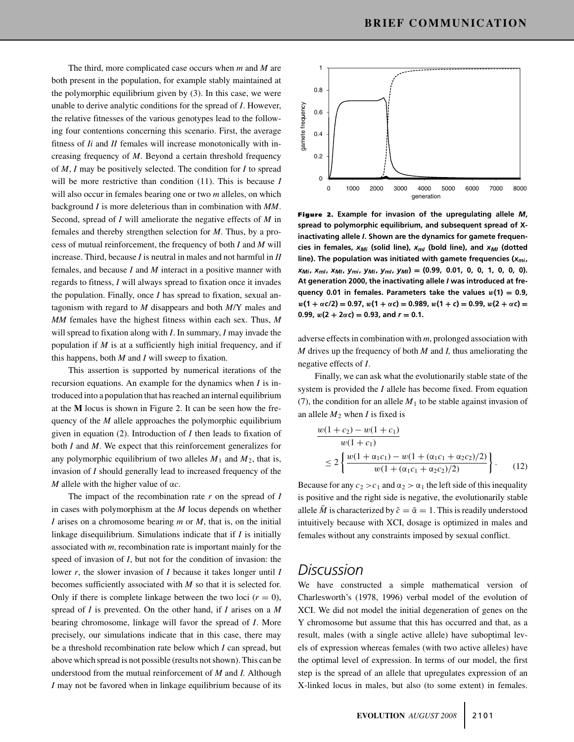The third, more complicated case occurs when *m* and *M* are both present in the population, for example stably maintained at the polymorphic equilibrium given by (3). In this case, we were unable to derive analytic conditions for the spread of *I*. However, the relative fitnesses of the various genotypes lead to the following four contentions concerning this scenario. First, the average fitness of *Ii* and *II* females will increase monotonically with increasing frequency of *M*. Beyond a certain threshold frequency of *M*, *I* may be positively selected. The condition for *I* to spread will be more restrictive than condition (11). This is because *I* will also occur in females bearing one or two *m* alleles, on which background *I* is more deleterious than in combination with *MM*. Second, spread of *I* will ameliorate the negative effects of *M* in females and thereby strengthen selection for *M*. Thus, by a process of mutual reinforcement, the frequency of both *I* and *M* will increase. Third, because *I* is neutral in males and not harmful in *II* females, and because *I* and *M* interact in a positive manner with regards to fitness, *I* will always spread to fixation once it invades the population. Finally, once *I* has spread to fixation, sexual antagonism with regard to *M* disappears and both *M*/Y males and *MM* females have the highest fitness within each sex. Thus, *M* will spread to fixation along with *I*. In summary, *I* may invade the population if *M* is at a sufficiently high initial frequency, and if this happens, both *M* and *I* will sweep to fixation.

This assertion is supported by numerical iterations of the recursion equations. An example for the dynamics when *I* is introduced into a population that has reached an internal equilibrium at the **M** locus is shown in Figure 2. It can be seen how the frequency of the *M* allele approaches the polymorphic equilibrium given in equation (2). Introduction of *I* then leads to fixation of both *I* and *M*. We expect that this reinforcement generalizes for any polymorphic equilibrium of two alleles  $M_1$  and  $M_2$ , that is, invasion of *I* should generally lead to increased frequency of the *M* allele with the higher value of α*c*.

The impact of the recombination rate *r* on the spread of *I* in cases with polymorphism at the *M* locus depends on whether *I* arises on a chromosome bearing *m* or *M*, that is, on the initial linkage disequilibrium. Simulations indicate that if *I* is initially associated with *m*, recombination rate is important mainly for the speed of invasion of *I*, but not for the condition of invasion: the lower *r*, the slower invasion of *I* because it takes longer until *I* becomes sufficiently associated with *M* so that it is selected for. Only if there is complete linkage between the two loci  $(r = 0)$ , spread of *I* is prevented. On the other hand, if *I* arises on a *M* bearing chromosome, linkage will favor the spread of *I*. More precisely, our simulations indicate that in this case, there may be a threshold recombination rate below which *I* can spread, but above which spread is not possible (results not shown). This can be understood from the mutual reinforcement of *M* and *I.* Although *I* may not be favored when in linkage equilibrium because of its



Figure 2. **Example for invasion of the upregulating allele** *M***, spread to polymorphic equilibrium, and subsequent spread of Xinactivating allele** *I***. Shown are the dynamics for gamete frequencies in females,** *xMi* **(solid line),** *xmI* **(bold line), and** *xMI* **(dotted line). The population was initiated with gamete frequencies (***xmi***,** *xMi***,** *xmI***,** *xMI***,** *ymi***,** *yMi***,** *ymI***,** *yMI***) = (0.99, 0.01, 0, 0, 1, 0, 0, 0). At generation 2000, the inactivating allele** *I* **was introduced at frequency** 0.01 in females. Parameters take the values  $w(1) = 0.9$ ,  $w(1 + \alpha c/2) = 0.97$ ,  $w(1 + \alpha c) = 0.989$ ,  $w(1 + c) = 0.99$ ,  $w(2 + \alpha c) =$ **0.99,**  $w(2 + 2\alpha c) = 0.93$ , and  $r = 0.1$ .

adverse effects in combination with *m*, prolonged association with *M* drives up the frequency of both *M* and *I,* thus ameliorating the negative effects of *I*.

Finally, we can ask what the evolutionarily stable state of the system is provided the *I* allele has become fixed. From equation (7), the condition for an allele  $M_1$  to be stable against invasion of an allele  $M_2$  when *I* is fixed is

$$
\frac{w(1+c_2) - w(1+c_1)}{w(1+c_1)}\n\le 2\left\{\frac{w(1+\alpha_1c_1) - w(1+(\alpha_1c_1+\alpha_2c_2)/2)}{w(1+(\alpha_1c_1+\alpha_2c_2)/2)}\right\}.
$$
\n(12)

Because for any  $c_2 > c_1$  and  $\alpha_2 > \alpha_1$  the left side of this inequality is positive and the right side is negative, the evolutionarily stable allele  $\tilde{M}$  is characterized by  $\tilde{c} = \tilde{\alpha} = 1$ . This is readily understood intuitively because with XCI, dosage is optimized in males and females without any constraints imposed by sexual conflict.

## *Discussion*

We have constructed a simple mathematical version of Charlesworth's (1978, 1996) verbal model of the evolution of XCI. We did not model the initial degeneration of genes on the Y chromosome but assume that this has occurred and that, as a result, males (with a single active allele) have suboptimal levels of expression whereas females (with two active alleles) have the optimal level of expression. In terms of our model, the first step is the spread of an allele that upregulates expression of an X-linked locus in males, but also (to some extent) in females.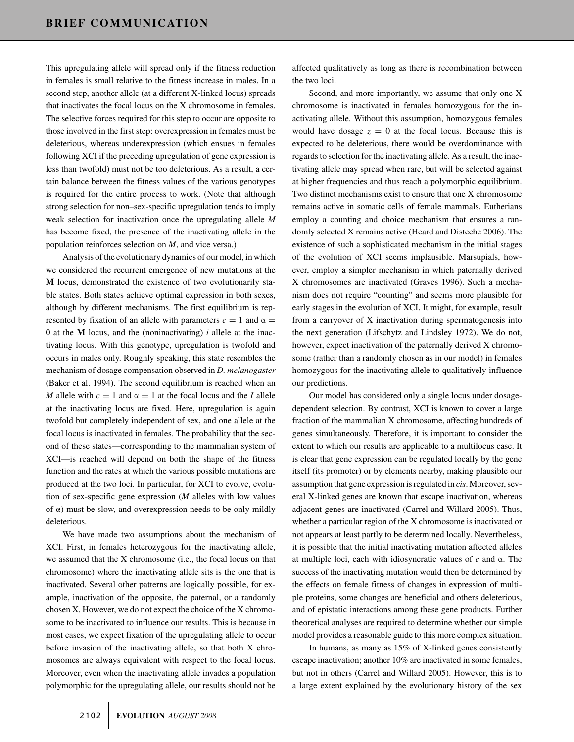This upregulating allele will spread only if the fitness reduction in females is small relative to the fitness increase in males. In a second step, another allele (at a different X-linked locus) spreads that inactivates the focal locus on the X chromosome in females. The selective forces required for this step to occur are opposite to those involved in the first step: overexpression in females must be deleterious, whereas underexpression (which ensues in females following XCI if the preceding upregulation of gene expression is less than twofold) must not be too deleterious. As a result, a certain balance between the fitness values of the various genotypes is required for the entire process to work. (Note that although strong selection for non–sex-specific upregulation tends to imply weak selection for inactivation once the upregulating allele *M* has become fixed, the presence of the inactivating allele in the population reinforces selection on *M*, and vice versa.)

Analysis of the evolutionary dynamics of our model, in which we considered the recurrent emergence of new mutations at the **M** locus, demonstrated the existence of two evolutionarily stable states. Both states achieve optimal expression in both sexes, although by different mechanisms. The first equilibrium is represented by fixation of an allele with parameters  $c = 1$  and  $\alpha =$ 0 at the **M** locus, and the (noninactivating) *i* allele at the inactivating locus. With this genotype, upregulation is twofold and occurs in males only. Roughly speaking, this state resembles the mechanism of dosage compensation observed in *D. melanogaster* (Baker et al. 1994). The second equilibrium is reached when an *M* allele with  $c = 1$  and  $\alpha = 1$  at the focal locus and the *I* allele at the inactivating locus are fixed. Here, upregulation is again twofold but completely independent of sex, and one allele at the focal locus is inactivated in females. The probability that the second of these states—corresponding to the mammalian system of XCI—is reached will depend on both the shape of the fitness function and the rates at which the various possible mutations are produced at the two loci. In particular, for XCI to evolve, evolution of sex-specific gene expression (*M* alleles with low values of  $\alpha$ ) must be slow, and overexpression needs to be only mildly deleterious.

We have made two assumptions about the mechanism of XCI. First, in females heterozygous for the inactivating allele, we assumed that the X chromosome (i.e., the focal locus on that chromosome) where the inactivating allele sits is the one that is inactivated. Several other patterns are logically possible, for example, inactivation of the opposite, the paternal, or a randomly chosen X. However, we do not expect the choice of the X chromosome to be inactivated to influence our results. This is because in most cases, we expect fixation of the upregulating allele to occur before invasion of the inactivating allele, so that both X chromosomes are always equivalent with respect to the focal locus. Moreover, even when the inactivating allele invades a population polymorphic for the upregulating allele, our results should not be

affected qualitatively as long as there is recombination between the two loci.

Second, and more importantly, we assume that only one X chromosome is inactivated in females homozygous for the inactivating allele. Without this assumption, homozygous females would have dosage  $z = 0$  at the focal locus. Because this is expected to be deleterious, there would be overdominance with regards to selection for the inactivating allele. As a result, the inactivating allele may spread when rare, but will be selected against at higher frequencies and thus reach a polymorphic equilibrium. Two distinct mechanisms exist to ensure that one X chromosome remains active in somatic cells of female mammals. Eutherians employ a counting and choice mechanism that ensures a randomly selected X remains active (Heard and Disteche 2006). The existence of such a sophisticated mechanism in the initial stages of the evolution of XCI seems implausible. Marsupials, however, employ a simpler mechanism in which paternally derived X chromosomes are inactivated (Graves 1996). Such a mechanism does not require "counting" and seems more plausible for early stages in the evolution of XCI. It might, for example, result from a carryover of X inactivation during spermatogenesis into the next generation (Lifschytz and Lindsley 1972). We do not, however, expect inactivation of the paternally derived X chromosome (rather than a randomly chosen as in our model) in females homozygous for the inactivating allele to qualitatively influence our predictions.

Our model has considered only a single locus under dosagedependent selection. By contrast, XCI is known to cover a large fraction of the mammalian X chromosome, affecting hundreds of genes simultaneously. Therefore, it is important to consider the extent to which our results are applicable to a multilocus case. It is clear that gene expression can be regulated locally by the gene itself (its promoter) or by elements nearby, making plausible our assumption that gene expression is regulated in *cis*. Moreover, several X-linked genes are known that escape inactivation, whereas adjacent genes are inactivated (Carrel and Willard 2005). Thus, whether a particular region of the X chromosome is inactivated or not appears at least partly to be determined locally. Nevertheless, it is possible that the initial inactivating mutation affected alleles at multiple loci, each with idiosyncratic values of *c* and α. The success of the inactivating mutation would then be determined by the effects on female fitness of changes in expression of multiple proteins, some changes are beneficial and others deleterious, and of epistatic interactions among these gene products. Further theoretical analyses are required to determine whether our simple model provides a reasonable guide to this more complex situation.

In humans, as many as 15% of X-linked genes consistently escape inactivation; another 10% are inactivated in some females, but not in others (Carrel and Willard 2005). However, this is to a large extent explained by the evolutionary history of the sex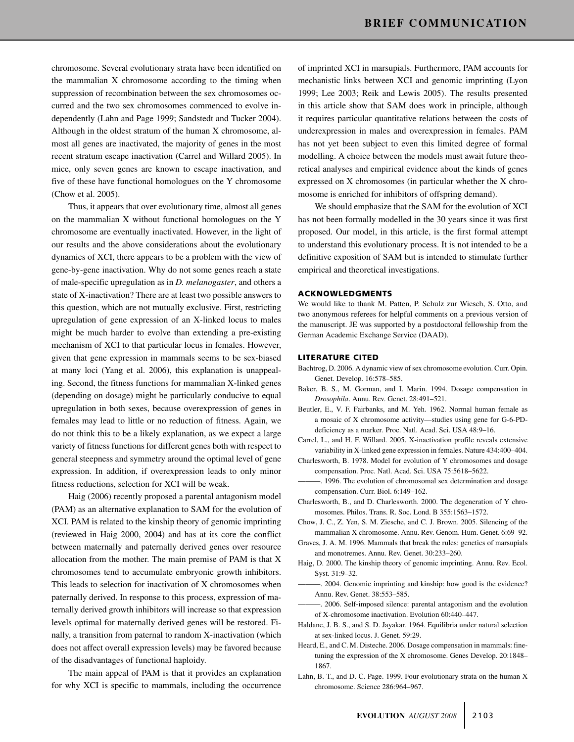chromosome. Several evolutionary strata have been identified on the mammalian X chromosome according to the timing when suppression of recombination between the sex chromosomes occurred and the two sex chromosomes commenced to evolve independently (Lahn and Page 1999; Sandstedt and Tucker 2004). Although in the oldest stratum of the human X chromosome, almost all genes are inactivated, the majority of genes in the most recent stratum escape inactivation (Carrel and Willard 2005). In mice, only seven genes are known to escape inactivation, and five of these have functional homologues on the Y chromosome (Chow et al. 2005).

Thus, it appears that over evolutionary time, almost all genes on the mammalian X without functional homologues on the Y chromosome are eventually inactivated. However, in the light of our results and the above considerations about the evolutionary dynamics of XCI, there appears to be a problem with the view of gene-by-gene inactivation. Why do not some genes reach a state of male-specific upregulation as in *D. melanogaster*, and others a state of X-inactivation? There are at least two possible answers to this question, which are not mutually exclusive. First, restricting upregulation of gene expression of an X-linked locus to males might be much harder to evolve than extending a pre-existing mechanism of XCI to that particular locus in females. However, given that gene expression in mammals seems to be sex-biased at many loci (Yang et al. 2006), this explanation is unappealing. Second, the fitness functions for mammalian X-linked genes (depending on dosage) might be particularly conducive to equal upregulation in both sexes, because overexpression of genes in females may lead to little or no reduction of fitness. Again, we do not think this to be a likely explanation, as we expect a large variety of fitness functions for different genes both with respect to general steepness and symmetry around the optimal level of gene expression. In addition, if overexpression leads to only minor fitness reductions, selection for XCI will be weak.

Haig (2006) recently proposed a parental antagonism model (PAM) as an alternative explanation to SAM for the evolution of XCI. PAM is related to the kinship theory of genomic imprinting (reviewed in Haig 2000, 2004) and has at its core the conflict between maternally and paternally derived genes over resource allocation from the mother. The main premise of PAM is that X chromosomes tend to accumulate embryonic growth inhibitors. This leads to selection for inactivation of X chromosomes when paternally derived. In response to this process, expression of maternally derived growth inhibitors will increase so that expression levels optimal for maternally derived genes will be restored. Finally, a transition from paternal to random X-inactivation (which does not affect overall expression levels) may be favored because of the disadvantages of functional haploidy.

The main appeal of PAM is that it provides an explanation for why XCI is specific to mammals, including the occurrence

of imprinted XCI in marsupials. Furthermore, PAM accounts for mechanistic links between XCI and genomic imprinting (Lyon 1999; Lee 2003; Reik and Lewis 2005). The results presented in this article show that SAM does work in principle, although it requires particular quantitative relations between the costs of underexpression in males and overexpression in females. PAM has not yet been subject to even this limited degree of formal modelling. A choice between the models must await future theoretical analyses and empirical evidence about the kinds of genes expressed on X chromosomes (in particular whether the X chromosome is enriched for inhibitors of offspring demand).

We should emphasize that the SAM for the evolution of XCI has not been formally modelled in the 30 years since it was first proposed. Our model, in this article, is the first formal attempt to understand this evolutionary process. It is not intended to be a definitive exposition of SAM but is intended to stimulate further empirical and theoretical investigations.

#### ACKNOWLEDGMENTS

We would like to thank M. Patten, P. Schulz zur Wiesch, S. Otto, and two anonymous referees for helpful comments on a previous version of the manuscript. JE was supported by a postdoctoral fellowship from the German Academic Exchange Service (DAAD).

#### LITERATURE CITED

- Bachtrog, D. 2006. A dynamic view of sex chromosome evolution. Curr. Opin. Genet. Develop. 16:578–585.
- Baker, B. S., M. Gorman, and I. Marin. 1994. Dosage compensation in *Drosophila*. Annu. Rev. Genet. 28:491–521.
- Beutler, E., V. F. Fairbanks, and M. Yeh. 1962. Normal human female as a mosaic of X chromosome activity—studies using gene for G-6-PDdeficiency as a marker. Proc. Natl. Acad. Sci. USA 48:9–16.
- Carrel, L., and H. F. Willard. 2005. X-inactivation profile reveals extensive variability in X-linked gene expression in females. Nature 434:400–404.
- Charlesworth, B. 1978. Model for evolution of Y chromosomes and dosage compensation. Proc. Natl. Acad. Sci. USA 75:5618–5622.
- -. 1996. The evolution of chromosomal sex determination and dosage compensation. Curr. Biol. 6:149–162.
- Charlesworth, B., and D. Charlesworth. 2000. The degeneration of Y chromosomes. Philos. Trans. R. Soc. Lond. B 355:1563–1572.
- Chow, J. C., Z. Yen, S. M. Ziesche, and C. J. Brown. 2005. Silencing of the mammalian X chromosome. Annu. Rev. Genom. Hum. Genet. 6:69–92.
- Graves, J. A. M. 1996. Mammals that break the rules: genetics of marsupials and monotremes. Annu. Rev. Genet. 30:233–260.
- Haig, D. 2000. The kinship theory of genomic imprinting. Annu. Rev. Ecol. Syst. 31:9–32.
- -. 2004. Genomic imprinting and kinship: how good is the evidence? Annu. Rev. Genet. 38:553–585.

-. 2006. Self-imposed silence: parental antagonism and the evolution of X-chromosome inactivation. Evolution 60:440–447.

- Haldane, J. B. S., and S. D. Jayakar. 1964. Equilibria under natural selection at sex-linked locus. J. Genet. 59:29.
- Heard, E., and C. M. Disteche. 2006. Dosage compensation in mammals: finetuning the expression of the X chromosome. Genes Develop. 20:1848– 1867.
- Lahn, B. T., and D. C. Page. 1999. Four evolutionary strata on the human X chromosome. Science 286:964–967.